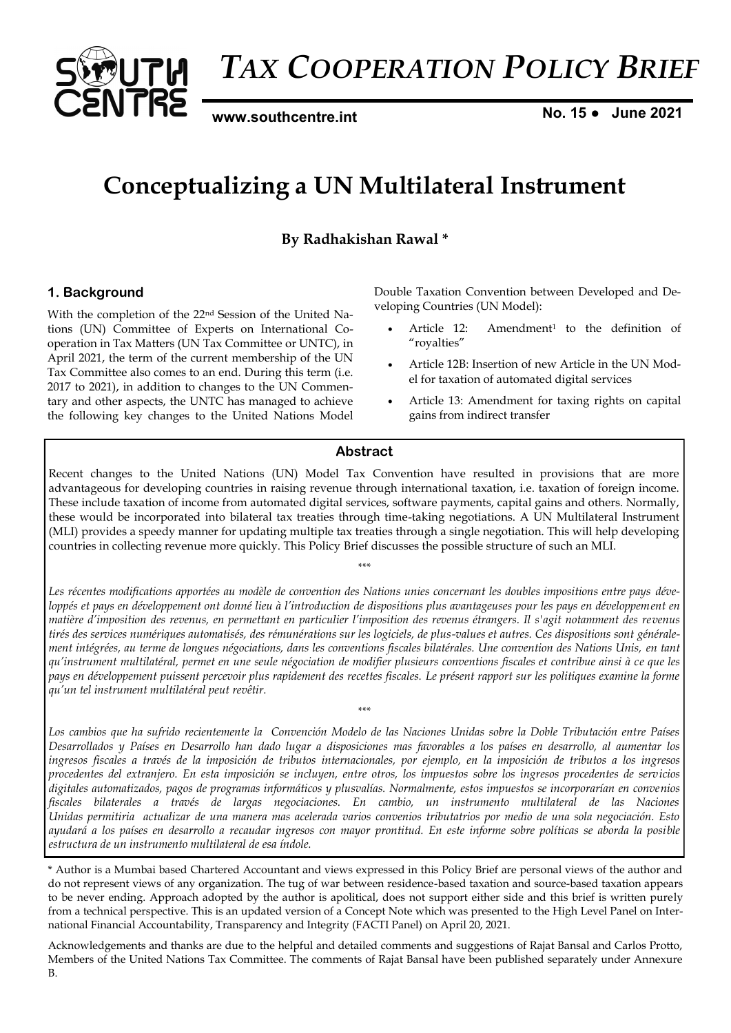

*TAX COOPERATION POLICY BRIEF* 

**[www.southcentre.int](http://www.southcentre.int)**

**No. 15 ● June 2021**

# **Conceptualizing a UN Multilateral Instrument**

**By Radhakishan Rawal \***

## **1. Background**

With the completion of the 22nd Session of the United Nations (UN) Committee of Experts on International Cooperation in Tax Matters (UN Tax Committee or UNTC), in April 2021, the term of the current membership of the UN Tax Committee also comes to an end. During this term (i.e. 2017 to 2021), in addition to changes to the UN Commentary and other aspects, the UNTC has managed to achieve the following key changes to the United Nations Model Double Taxation Convention between Developed and Developing Countries (UN Model):

- Article 12: Amendment<sup>1</sup> to the definition of "royalties"
- Article 12B: Insertion of new Article in the UN Model for taxation of automated digital services
- Article 13: Amendment for taxing rights on capital gains from indirect transfer

## **Abstract**

Recent changes to the United Nations (UN) Model Tax Convention have resulted in provisions that are more advantageous for developing countries in raising revenue through international taxation, i.e. taxation of foreign income. These include taxation of income from automated digital services, software payments, capital gains and others. Normally, these would be incorporated into bilateral tax treaties through time-taking negotiations. A UN Multilateral Instrument (MLI) provides a speedy manner for updating multiple tax treaties through a single negotiation. This will help developing countries in collecting revenue more quickly. This Policy Brief discusses the possible structure of such an MLI.

*\*\*\**

*Les récentes modifications apportées au modèle de convention des Nations unies concernant les doubles impositions entre pays développés et pays en développement ont donné lieu à l'introduction de dispositions plus avantageuses pour les pays en développement en matière d'imposition des revenus, en permettant en particulier l'imposition des revenus étrangers. Il s'agit notamment des revenus tirés des services numériques automatisés, des rémunérations sur les logiciels, de plus-values et autres. Ces dispositions sont généralement intégrées, au terme de longues négociations, dans les conventions fiscales bilatérales. Une convention des Nations Unis, en tant qu'instrument multilatéral, permet en une seule négociation de modifier plusieurs conventions fiscales et contribue ainsi à ce que les pays en développement puissent percevoir plus rapidement des recettes fiscales. Le présent rapport sur les politiques examine la forme qu'un tel instrument multilatéral peut revêtir.*

*\*\*\**

*Los cambios que ha sufrido recientemente la Convención Modelo de las Naciones Unidas sobre la Doble Tributación entre Países Desarrollados y Países en Desarrollo han dado lugar a disposiciones mas favorables a los países en desarrollo, al aumentar los ingresos fiscales a través de la imposición de tributos internacionales, por ejemplo, en la imposición de tributos a los ingresos procedentes del extranjero. En esta imposición se incluyen, entre otros, los impuestos sobre los ingresos procedentes de servicios digitales automatizados, pagos de programas informáticos y plusvalías. Normalmente, estos impuestos se incorporarían en convenios fiscales bilaterales a través de largas negociaciones. En cambio, un instrumento multilateral de las Naciones Unidas permitiria actualizar de una manera mas acelerada varios convenios tributatrios por medio de una sola negociación. Esto ayudará a los países en desarrollo a recaudar ingresos con mayor prontitud. En este informe sobre políticas se aborda la posible estructura de un instrumento multilateral de esa índole.*

\* Author is a Mumbai based Chartered Accountant and views expressed in this Policy Brief are personal views of the author and do not represent views of any organization. The tug of war between residence-based taxation and source-based taxation appears to be never ending. Approach adopted by the author is apolitical, does not support either side and this brief is written purely from a technical perspective. This is an updated version of a Concept Note which was presented to the High Level Panel on International Financial Accountability, Transparency and Integrity (FACTI Panel) on April 20, 2021.

Acknowledgements and thanks are due to the helpful and detailed comments and suggestions of Rajat Bansal and Carlos Protto, Members of the United Nations Tax Committee. The comments of Rajat Bansal have been published separately under Annexure B.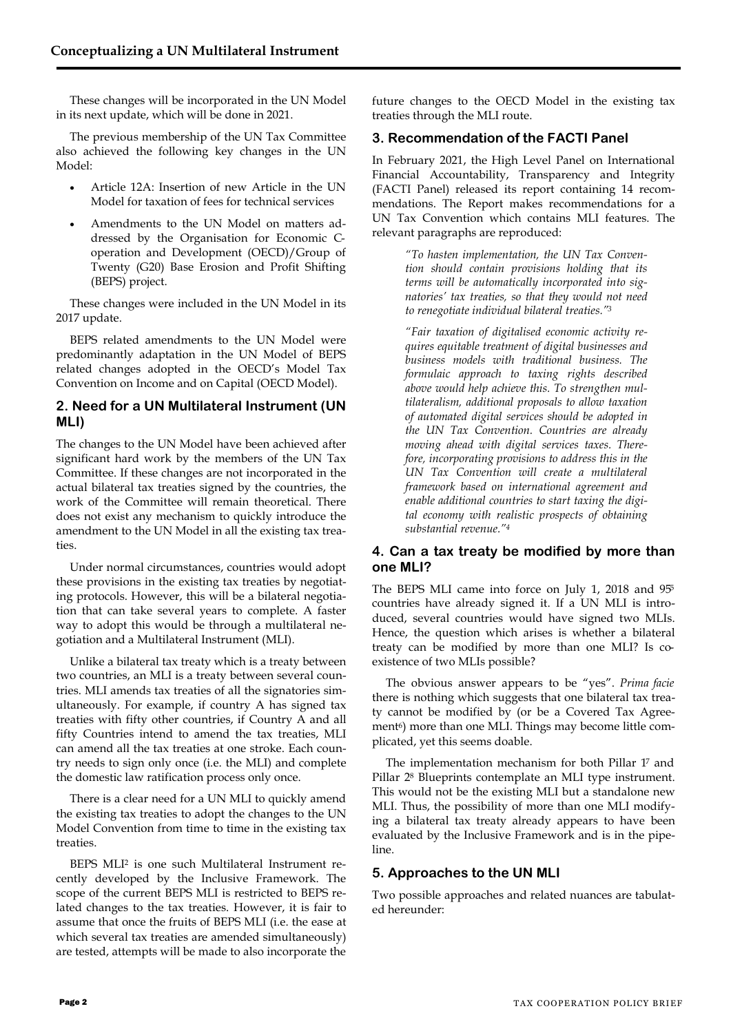These changes will be incorporated in the UN Model in its next update, which will be done in 2021.

The previous membership of the UN Tax Committee also achieved the following key changes in the UN Model:

- Article 12A: Insertion of new Article in the UN Model for taxation of fees for technical services
- Amendments to the UN Model on matters addressed by the Organisation for Economic Coperation and Development (OECD)/Group of Twenty (G20) Base Erosion and Profit Shifting (BEPS) project.

These changes were included in the UN Model in its 2017 update.

BEPS related amendments to the UN Model were predominantly adaptation in the UN Model of BEPS related changes adopted in the OECD's Model Tax Convention on Income and on Capital (OECD Model).

## **2. Need for a UN Multilateral Instrument (UN MLI)**

The changes to the UN Model have been achieved after significant hard work by the members of the UN Tax Committee. If these changes are not incorporated in the actual bilateral tax treaties signed by the countries, the work of the Committee will remain theoretical. There does not exist any mechanism to quickly introduce the amendment to the UN Model in all the existing tax treaties.

Under normal circumstances, countries would adopt these provisions in the existing tax treaties by negotiating protocols. However, this will be a bilateral negotiation that can take several years to complete. A faster way to adopt this would be through a multilateral negotiation and a Multilateral Instrument (MLI).

Unlike a bilateral tax treaty which is a treaty between two countries, an MLI is a treaty between several countries. MLI amends tax treaties of all the signatories simultaneously. For example, if country A has signed tax treaties with fifty other countries, if Country A and all fifty Countries intend to amend the tax treaties, MLI can amend all the tax treaties at one stroke. Each country needs to sign only once (i.e. the MLI) and complete the domestic law ratification process only once.

There is a clear need for a UN MLI to quickly amend the existing tax treaties to adopt the changes to the UN Model Convention from time to time in the existing tax treaties.

BEPS MLI<sup>2</sup> is one such Multilateral Instrument recently developed by the Inclusive Framework. The scope of the current BEPS MLI is restricted to BEPS related changes to the tax treaties. However, it is fair to assume that once the fruits of BEPS MLI (i.e. the ease at which several tax treaties are amended simultaneously) are tested, attempts will be made to also incorporate the

future changes to the OECD Model in the existing tax treaties through the MLI route.

# **3. Recommendation of the FACTI Panel**

In February 2021, the High Level Panel on International Financial Accountability, Transparency and Integrity (FACTI Panel) released its report containing 14 recommendations. The Report makes recommendations for a UN Tax Convention which contains MLI features. The relevant paragraphs are reproduced:

> *"To hasten implementation, the UN Tax Convention should contain provisions holding that its terms will be automatically incorporated into signatories' tax treaties, so that they would not need to renegotiate individual bilateral treaties."<sup>3</sup>*

*"Fair taxation of digitalised economic activity requires equitable treatment of digital businesses and business models with traditional business. The formulaic approach to taxing rights described above would help achieve this. To strengthen multilateralism, additional proposals to allow taxation of automated digital services should be adopted in the UN Tax Convention. Countries are already moving ahead with digital services taxes. Therefore, incorporating provisions to address this in the UN Tax Convention will create a multilateral framework based on international agreement and enable additional countries to start taxing the digital economy with realistic prospects of obtaining substantial revenue."<sup>4</sup>*

## **4. Can a tax treaty be modified by more than one MLI?**

The BEPS MLI came into force on July 1, 2018 and 95<sup>5</sup> countries have already signed it. If a UN MLI is introduced, several countries would have signed two MLIs. Hence, the question which arises is whether a bilateral treaty can be modified by more than one MLI? Is coexistence of two MLIs possible?

The obvious answer appears to be "yes". *Prima facie* there is nothing which suggests that one bilateral tax treaty cannot be modified by (or be a Covered Tax Agreement<sup>6</sup>) more than one MLI. Things may become little complicated, yet this seems doable.

The implementation mechanism for both Pillar 1<sup>7</sup> and Pillar 2<sup>8</sup> Blueprints contemplate an MLI type instrument. This would not be the existing MLI but a standalone new MLI. Thus, the possibility of more than one MLI modifying a bilateral tax treaty already appears to have been evaluated by the Inclusive Framework and is in the pipeline.

## **5. Approaches to the UN MLI**

Two possible approaches and related nuances are tabulated hereunder: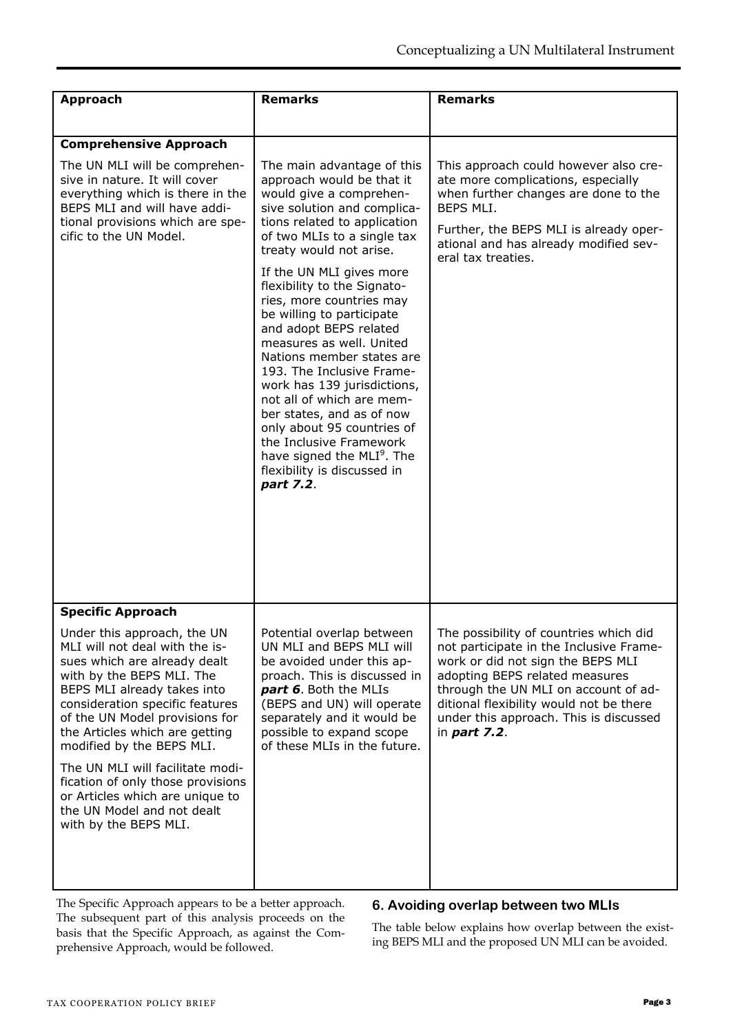| <b>Approach</b>                                                                                                                                                                                                                                                                                                                                                                                                                                                  | <b>Remarks</b>                                                                                                                                                                                                                                                                                                                                                                                                                                                                                                                                                                                                                                                                          | <b>Remarks</b>                                                                                                                                                                                                                                                                                                  |
|------------------------------------------------------------------------------------------------------------------------------------------------------------------------------------------------------------------------------------------------------------------------------------------------------------------------------------------------------------------------------------------------------------------------------------------------------------------|-----------------------------------------------------------------------------------------------------------------------------------------------------------------------------------------------------------------------------------------------------------------------------------------------------------------------------------------------------------------------------------------------------------------------------------------------------------------------------------------------------------------------------------------------------------------------------------------------------------------------------------------------------------------------------------------|-----------------------------------------------------------------------------------------------------------------------------------------------------------------------------------------------------------------------------------------------------------------------------------------------------------------|
|                                                                                                                                                                                                                                                                                                                                                                                                                                                                  |                                                                                                                                                                                                                                                                                                                                                                                                                                                                                                                                                                                                                                                                                         |                                                                                                                                                                                                                                                                                                                 |
| <b>Comprehensive Approach</b>                                                                                                                                                                                                                                                                                                                                                                                                                                    |                                                                                                                                                                                                                                                                                                                                                                                                                                                                                                                                                                                                                                                                                         |                                                                                                                                                                                                                                                                                                                 |
| The UN MLI will be comprehen-<br>sive in nature. It will cover<br>everything which is there in the<br>BEPS MLI and will have addi-<br>tional provisions which are spe-<br>cific to the UN Model.                                                                                                                                                                                                                                                                 | The main advantage of this<br>approach would be that it<br>would give a comprehen-<br>sive solution and complica-<br>tions related to application<br>of two MLIs to a single tax<br>treaty would not arise.<br>If the UN MLI gives more<br>flexibility to the Signato-<br>ries, more countries may<br>be willing to participate<br>and adopt BEPS related<br>measures as well. United<br>Nations member states are<br>193. The Inclusive Frame-<br>work has 139 jurisdictions,<br>not all of which are mem-<br>ber states, and as of now<br>only about 95 countries of<br>the Inclusive Framework<br>have signed the MLI <sup>9</sup> . The<br>flexibility is discussed in<br>part 7.2. | This approach could however also cre-<br>ate more complications, especially<br>when further changes are done to the<br>BEPS MLI.<br>Further, the BEPS MLI is already oper-<br>ational and has already modified sev-<br>eral tax treaties.                                                                       |
|                                                                                                                                                                                                                                                                                                                                                                                                                                                                  |                                                                                                                                                                                                                                                                                                                                                                                                                                                                                                                                                                                                                                                                                         |                                                                                                                                                                                                                                                                                                                 |
| <b>Specific Approach</b>                                                                                                                                                                                                                                                                                                                                                                                                                                         |                                                                                                                                                                                                                                                                                                                                                                                                                                                                                                                                                                                                                                                                                         |                                                                                                                                                                                                                                                                                                                 |
| Under this approach, the UN<br>MLI will not deal with the is-<br>sues which are already dealt<br>with by the BEPS MLI. The<br>BEPS MLI already takes into<br>consideration specific features<br>of the UN Model provisions for<br>the Articles which are getting<br>modified by the BEPS MLI.<br>The UN MLI will facilitate modi-<br>fication of only those provisions<br>or Articles which are unique to<br>the UN Model and not dealt<br>with by the BEPS MLI. | Potential overlap between<br>UN MLI and BEPS MLI will<br>be avoided under this ap-<br>proach. This is discussed in<br>part 6. Both the MLIs<br>(BEPS and UN) will operate<br>separately and it would be<br>possible to expand scope<br>of these MLIs in the future.                                                                                                                                                                                                                                                                                                                                                                                                                     | The possibility of countries which did<br>not participate in the Inclusive Frame-<br>work or did not sign the BEPS MLI<br>adopting BEPS related measures<br>through the UN MLI on account of ad-<br>ditional flexibility would not be there<br>under this approach. This is discussed<br>in <i>part</i> $7.2$ . |

The Specific Approach appears to be a better approach. The subsequent part of this analysis proceeds on the basis that the Specific Approach, as against the Comprehensive Approach, would be followed.

## **6. Avoiding overlap between two MLIs**

The table below explains how overlap between the existing BEPS MLI and the proposed UN MLI can be avoided.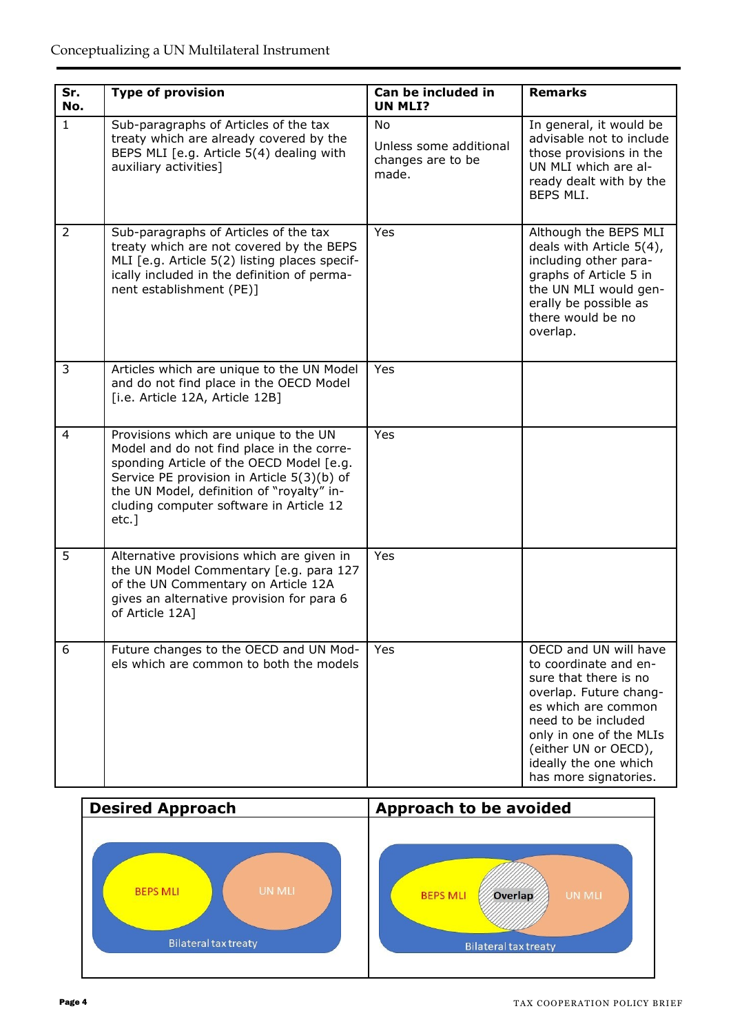| Sr.<br>No.     | <b>Type of provision</b>                                                                                                                                                                                                                                                         | Can be included in<br><b>UN MLI?</b>                       | <b>Remarks</b>                                                                                                                                                                                                                                       |
|----------------|----------------------------------------------------------------------------------------------------------------------------------------------------------------------------------------------------------------------------------------------------------------------------------|------------------------------------------------------------|------------------------------------------------------------------------------------------------------------------------------------------------------------------------------------------------------------------------------------------------------|
| $\mathbf{1}$   | Sub-paragraphs of Articles of the tax<br>treaty which are already covered by the<br>BEPS MLI [e.g. Article 5(4) dealing with<br>auxiliary activities]                                                                                                                            | No<br>Unless some additional<br>changes are to be<br>made. | In general, it would be<br>advisable not to include<br>those provisions in the<br>UN MLI which are al-<br>ready dealt with by the<br>BEPS MLI.                                                                                                       |
| $\overline{2}$ | Sub-paragraphs of Articles of the tax<br>treaty which are not covered by the BEPS<br>MLI [e.g. Article 5(2) listing places specif-<br>ically included in the definition of perma-<br>nent establishment (PE)]                                                                    | Yes                                                        | Although the BEPS MLI<br>deals with Article 5(4),<br>including other para-<br>graphs of Article 5 in<br>the UN MLI would gen-<br>erally be possible as<br>there would be no<br>overlap.                                                              |
| 3              | Articles which are unique to the UN Model<br>and do not find place in the OECD Model<br>[i.e. Article 12A, Article 12B]                                                                                                                                                          | Yes                                                        |                                                                                                                                                                                                                                                      |
| $\overline{4}$ | Provisions which are unique to the UN<br>Model and do not find place in the corre-<br>sponding Article of the OECD Model [e.g.<br>Service PE provision in Article 5(3)(b) of<br>the UN Model, definition of "royalty" in-<br>cluding computer software in Article 12<br>$etc.$ ] | Yes                                                        |                                                                                                                                                                                                                                                      |
| 5              | Alternative provisions which are given in<br>the UN Model Commentary [e.g. para 127<br>of the UN Commentary on Article 12A<br>gives an alternative provision for para 6<br>of Article 12A]                                                                                       | <b>Yes</b>                                                 |                                                                                                                                                                                                                                                      |
| 6              | Future changes to the OECD and UN Mod-<br>els which are common to both the models                                                                                                                                                                                                | Yes                                                        | OECD and UN will have<br>to coordinate and en-<br>sure that there is no<br>overlap. Future chang-<br>es which are common<br>need to be included<br>only in one of the MLIs<br>(either UN or OECD),<br>ideally the one which<br>has more signatories. |

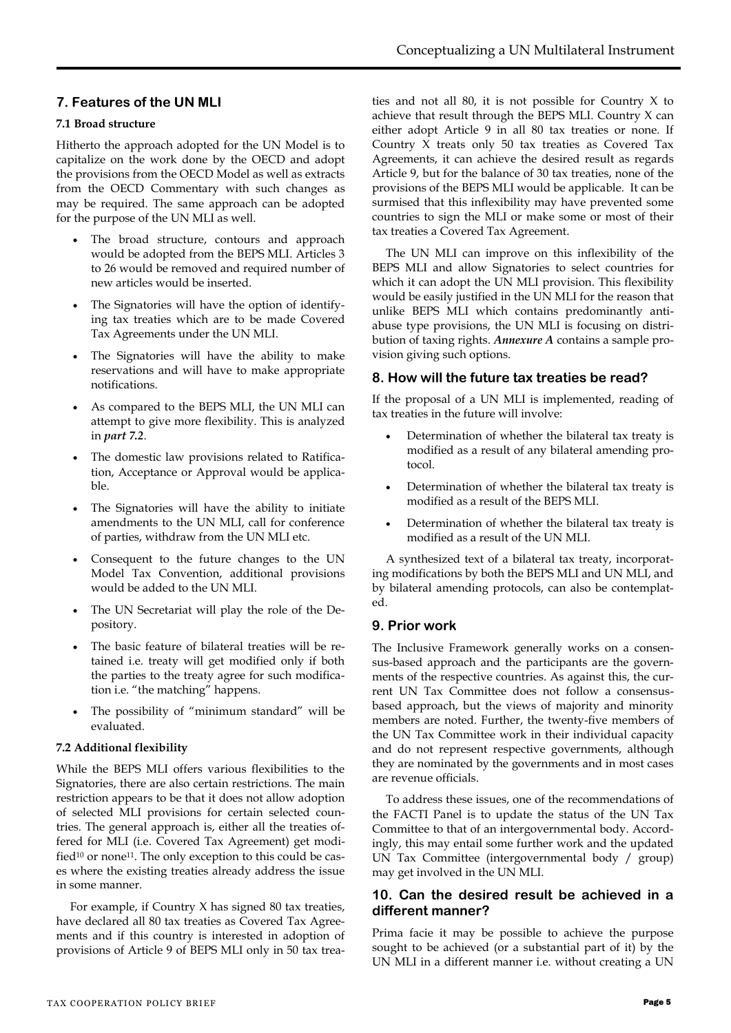## **7. Features of the UN MLI**

## **7.1 Broad structure**

Hitherto the approach adopted for the UN Model is to capitalize on the work done by the OECD and adopt the provisions from the OECD Model as well as extracts from the OECD Commentary with such changes as may be required. The same approach can be adopted for the purpose of the UN MLI as well.

- The broad structure, contours and approach would be adopted from the BEPS MLI. Articles 3 to 26 would be removed and required number of new articles would be inserted.
- The Signatories will have the option of identifying tax treaties which are to be made Covered Tax Agreements under the UN MLI.
- The Signatories will have the ability to make reservations and will have to make appropriate notifications.
- As compared to the BEPS MLI, the UN MLI can attempt to give more flexibility. This is analyzed in *part 7.2*.
- The domestic law provisions related to Ratification, Acceptance or Approval would be applicable.
- The Signatories will have the ability to initiate amendments to the UN MLI, call for conference of parties, withdraw from the UN MLI etc.
- Consequent to the future changes to the UN Model Tax Convention, additional provisions would be added to the UN MLI.
- The UN Secretariat will play the role of the Depository.
- The basic feature of bilateral treaties will be retained i.e. treaty will get modified only if both the parties to the treaty agree for such modification i.e. "the matching" happens.
- The possibility of "minimum standard" will be evaluated.

## **7.2 Additional flexibility**

While the BEPS MLI offers various flexibilities to the Signatories, there are also certain restrictions. The main restriction appears to be that it does not allow adoption of selected MLI provisions for certain selected countries. The general approach is, either all the treaties offered for MLI (i.e. Covered Tax Agreement) get modified<sup>10</sup> or none<sup>11</sup>. The only exception to this could be cases where the existing treaties already address the issue in some manner.

For example, if Country X has signed 80 tax treaties, have declared all 80 tax treaties as Covered Tax Agreements and if this country is interested in adoption of provisions of Article 9 of BEPS MLI only in 50 tax trea-

ties and not all 80, it is not possible for Country X to achieve that result through the BEPS MLI. Country X can either adopt Article 9 in all 80 tax treaties or none. If Country X treats only 50 tax treaties as Covered Tax Agreements, it can achieve the desired result as regards Article 9, but for the balance of 30 tax treaties, none of the provisions of the BEPS MLI would be applicable. It can be surmised that this inflexibility may have prevented some countries to sign the MLI or make some or most of their tax treaties a Covered Tax Agreement.

The UN MLI can improve on this inflexibility of the BEPS MLI and allow Signatories to select countries for which it can adopt the UN MLI provision. This flexibility would be easily justified in the UN MLI for the reason that unlike BEPS MLI which contains predominantly antiabuse type provisions, the UN MLI is focusing on distribution of taxing rights. *Annexure A* contains a sample provision giving such options.

## **8. How will the future tax treaties be read?**

If the proposal of a UN MLI is implemented, reading of tax treaties in the future will involve:

- Determination of whether the bilateral tax treaty is modified as a result of any bilateral amending protocol.
- Determination of whether the bilateral tax treaty is modified as a result of the BEPS MLI.
- Determination of whether the bilateral tax treaty is modified as a result of the UN MLI.

A synthesized text of a bilateral tax treaty, incorporating modifications by both the BEPS MLI and UN MLI, and by bilateral amending protocols, can also be contemplated.

## **9. Prior work**

The Inclusive Framework generally works on a consensus-based approach and the participants are the governments of the respective countries. As against this, the current UN Tax Committee does not follow a consensusbased approach, but the views of majority and minority members are noted. Further, the twenty-five members of the UN Tax Committee work in their individual capacity and do not represent respective governments, although they are nominated by the governments and in most cases are revenue officials.

To address these issues, one of the recommendations of the FACTI Panel is to update the status of the UN Tax Committee to that of an intergovernmental body. Accordingly, this may entail some further work and the updated UN Tax Committee (intergovernmental body / group) may get involved in the UN MLI.

## **10. Can the desired result be achieved in a different manner?**

Prima facie it may be possible to achieve the purpose sought to be achieved (or a substantial part of it) by the UN MLI in a different manner i.e. without creating a UN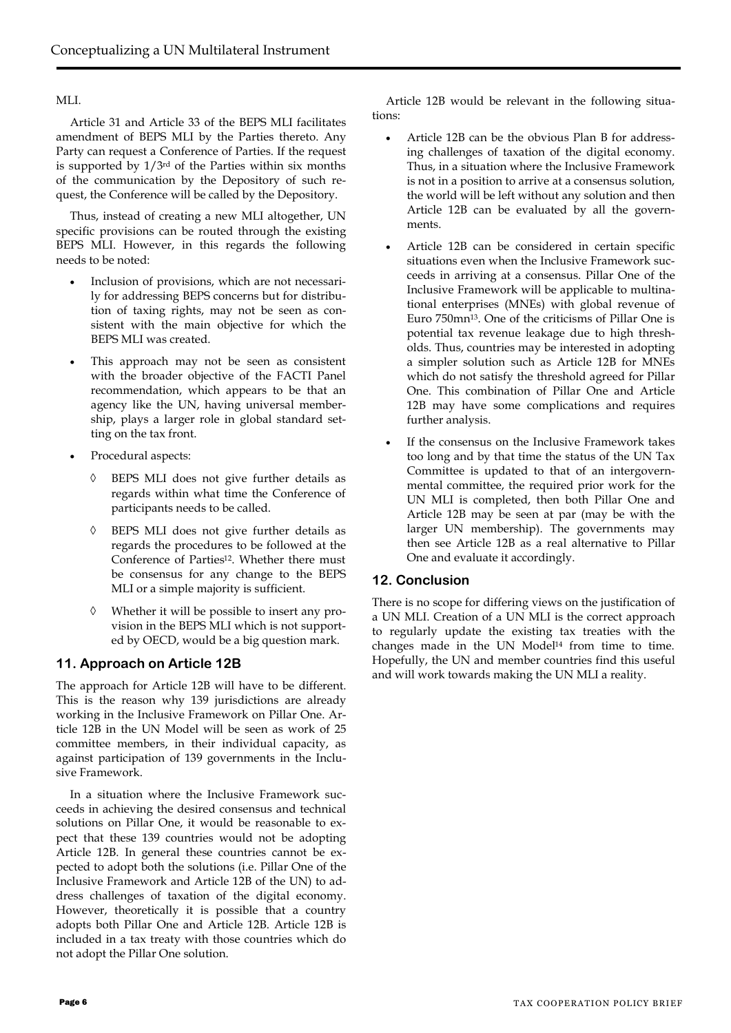#### MLI.

Article 31 and Article 33 of the BEPS MLI facilitates amendment of BEPS MLI by the Parties thereto. Any Party can request a Conference of Parties. If the request is supported by 1/3rd of the Parties within six months of the communication by the Depository of such request, the Conference will be called by the Depository.

Thus, instead of creating a new MLI altogether, UN specific provisions can be routed through the existing BEPS MLI. However, in this regards the following needs to be noted:

- Inclusion of provisions, which are not necessarily for addressing BEPS concerns but for distribution of taxing rights, may not be seen as consistent with the main objective for which the BEPS MLI was created.
- This approach may not be seen as consistent with the broader objective of the FACTI Panel recommendation, which appears to be that an agency like the UN, having universal membership, plays a larger role in global standard setting on the tax front.
- Procedural aspects:
	- BEPS MLI does not give further details as regards within what time the Conference of participants needs to be called.
	- BEPS MLI does not give further details as regards the procedures to be followed at the Conference of Parties<sup>12</sup>. Whether there must be consensus for any change to the BEPS MLI or a simple majority is sufficient.
	- Whether it will be possible to insert any provision in the BEPS MLI which is not supported by OECD, would be a big question mark.

## **11. Approach on Article 12B**

The approach for Article 12B will have to be different. This is the reason why 139 jurisdictions are already working in the Inclusive Framework on Pillar One. Article 12B in the UN Model will be seen as work of 25 committee members, in their individual capacity, as against participation of 139 governments in the Inclusive Framework.

In a situation where the Inclusive Framework succeeds in achieving the desired consensus and technical solutions on Pillar One, it would be reasonable to expect that these 139 countries would not be adopting Article 12B. In general these countries cannot be expected to adopt both the solutions (i.e. Pillar One of the Inclusive Framework and Article 12B of the UN) to address challenges of taxation of the digital economy. However, theoretically it is possible that a country adopts both Pillar One and Article 12B. Article 12B is included in a tax treaty with those countries which do not adopt the Pillar One solution.

Article 12B would be relevant in the following situations:

- Article 12B can be the obvious Plan B for addressing challenges of taxation of the digital economy. Thus, in a situation where the Inclusive Framework is not in a position to arrive at a consensus solution, the world will be left without any solution and then Article 12B can be evaluated by all the governments.
- Article 12B can be considered in certain specific situations even when the Inclusive Framework succeeds in arriving at a consensus. Pillar One of the Inclusive Framework will be applicable to multinational enterprises (MNEs) with global revenue of Euro 750mn13. One of the criticisms of Pillar One is potential tax revenue leakage due to high thresholds. Thus, countries may be interested in adopting a simpler solution such as Article 12B for MNEs which do not satisfy the threshold agreed for Pillar One. This combination of Pillar One and Article 12B may have some complications and requires further analysis.
- If the consensus on the Inclusive Framework takes too long and by that time the status of the UN Tax Committee is updated to that of an intergovernmental committee, the required prior work for the UN MLI is completed, then both Pillar One and Article 12B may be seen at par (may be with the larger UN membership). The governments may then see Article 12B as a real alternative to Pillar One and evaluate it accordingly.

## **12. Conclusion**

There is no scope for differing views on the justification of a UN MLI. Creation of a UN MLI is the correct approach to regularly update the existing tax treaties with the changes made in the UN Model<sup>14</sup> from time to time. Hopefully, the UN and member countries find this useful and will work towards making the UN MLI a reality.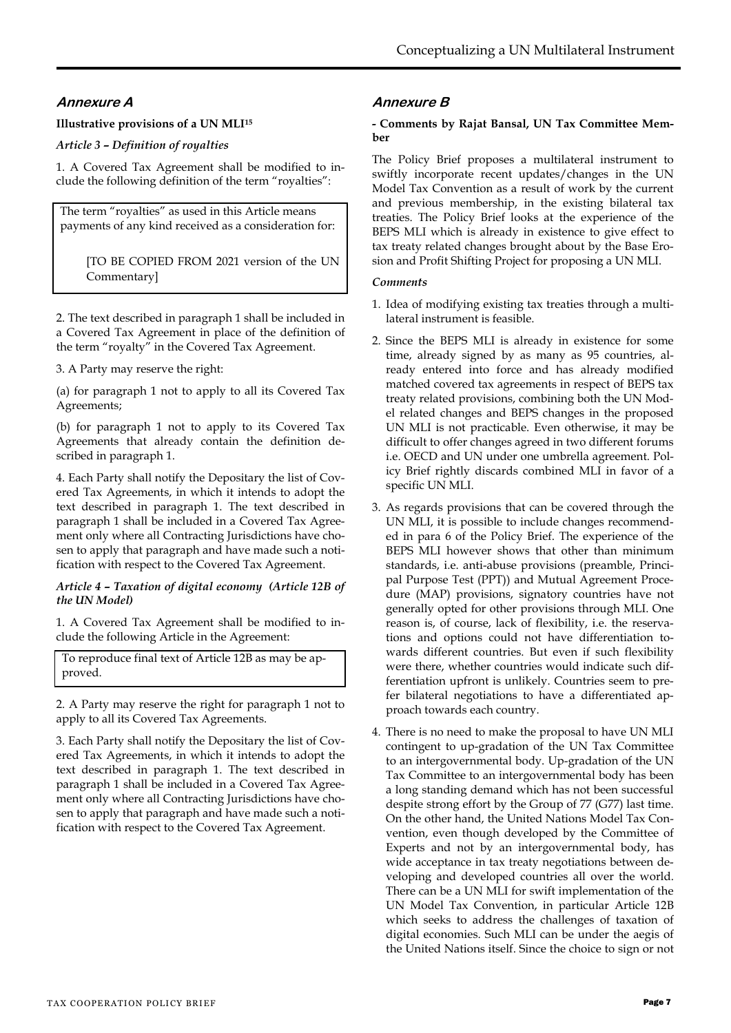# **Annexure A**

## **Illustrative provisions of a UN MLI<sup>15</sup>**

*Article 3 – Definition of royalties* 

1. A Covered Tax Agreement shall be modified to include the following definition of the term "royalties":

The term "royalties" as used in this Article means payments of any kind received as a consideration for:

[TO BE COPIED FROM 2021 version of the UN Commentary]

2. The text described in paragraph 1 shall be included in a Covered Tax Agreement in place of the definition of the term "royalty" in the Covered Tax Agreement.

3. A Party may reserve the right:

(a) for paragraph 1 not to apply to all its Covered Tax Agreements;

(b) for paragraph 1 not to apply to its Covered Tax Agreements that already contain the definition described in paragraph 1.

4. Each Party shall notify the Depositary the list of Covered Tax Agreements, in which it intends to adopt the text described in paragraph 1. The text described in paragraph 1 shall be included in a Covered Tax Agreement only where all Contracting Jurisdictions have chosen to apply that paragraph and have made such a notification with respect to the Covered Tax Agreement.

#### *Article 4 – Taxation of digital economy (Article 12B of the UN Model)*

1. A Covered Tax Agreement shall be modified to include the following Article in the Agreement:

To reproduce final text of Article 12B as may be approved.

2. A Party may reserve the right for paragraph 1 not to apply to all its Covered Tax Agreements.

3. Each Party shall notify the Depositary the list of Covered Tax Agreements, in which it intends to adopt the text described in paragraph 1. The text described in paragraph 1 shall be included in a Covered Tax Agreement only where all Contracting Jurisdictions have chosen to apply that paragraph and have made such a notification with respect to the Covered Tax Agreement.

## **Annexure B**

#### **- Comments by Rajat Bansal, UN Tax Committee Member**

The Policy Brief proposes a multilateral instrument to swiftly incorporate recent updates/changes in the UN Model Tax Convention as a result of work by the current and previous membership, in the existing bilateral tax treaties. The Policy Brief looks at the experience of the BEPS MLI which is already in existence to give effect to tax treaty related changes brought about by the Base Erosion and Profit Shifting Project for proposing a UN MLI.

#### *Comments*

- 1. Idea of modifying existing tax treaties through a multilateral instrument is feasible.
- 2. Since the BEPS MLI is already in existence for some time, already signed by as many as 95 countries, already entered into force and has already modified matched covered tax agreements in respect of BEPS tax treaty related provisions, combining both the UN Model related changes and BEPS changes in the proposed UN MLI is not practicable. Even otherwise, it may be difficult to offer changes agreed in two different forums i.e. OECD and UN under one umbrella agreement. Policy Brief rightly discards combined MLI in favor of a specific UN MLI.
- 3. As regards provisions that can be covered through the UN MLI, it is possible to include changes recommended in para 6 of the Policy Brief. The experience of the BEPS MLI however shows that other than minimum standards, i.e. anti-abuse provisions (preamble, Principal Purpose Test (PPT)) and Mutual Agreement Procedure (MAP) provisions, signatory countries have not generally opted for other provisions through MLI. One reason is, of course, lack of flexibility, i.e. the reservations and options could not have differentiation towards different countries. But even if such flexibility were there, whether countries would indicate such differentiation upfront is unlikely. Countries seem to prefer bilateral negotiations to have a differentiated approach towards each country.
- 4. There is no need to make the proposal to have UN MLI contingent to up-gradation of the UN Tax Committee to an intergovernmental body. Up-gradation of the UN Tax Committee to an intergovernmental body has been a long standing demand which has not been successful despite strong effort by the Group of 77 (G77) last time. On the other hand, the United Nations Model Tax Convention, even though developed by the Committee of Experts and not by an intergovernmental body, has wide acceptance in tax treaty negotiations between developing and developed countries all over the world. There can be a UN MLI for swift implementation of the UN Model Tax Convention, in particular Article 12B which seeks to address the challenges of taxation of digital economies. Such MLI can be under the aegis of the United Nations itself. Since the choice to sign or not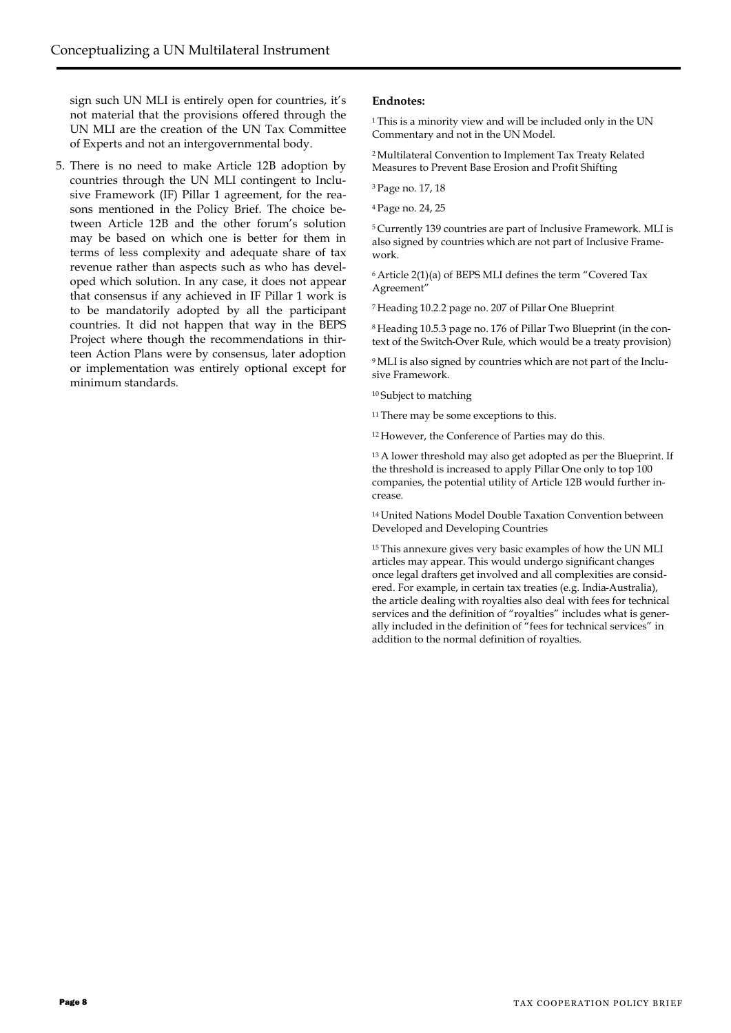sign such UN MLI is entirely open for countries, it's not material that the provisions offered through the UN MLI are the creation of the UN Tax Committee of Experts and not an intergovernmental body.

5. There is no need to make Article 12B adoption by countries through the UN MLI contingent to Inclusive Framework (IF) Pillar 1 agreement, for the reasons mentioned in the Policy Brief. The choice between Article 12B and the other forum's solution may be based on which one is better for them in terms of less complexity and adequate share of tax revenue rather than aspects such as who has developed which solution. In any case, it does not appear that consensus if any achieved in IF Pillar 1 work is to be mandatorily adopted by all the participant countries. It did not happen that way in the BEPS Project where though the recommendations in thirteen Action Plans were by consensus, later adoption or implementation was entirely optional except for minimum standards.

#### **Endnotes:**

<sup>1</sup>This is a minority view and will be included only in the UN Commentary and not in the UN Model.

<sup>2</sup>Multilateral Convention to Implement Tax Treaty Related Measures to Prevent Base Erosion and Profit Shifting

<sup>3</sup>Page no. 17, 18

<sup>4</sup>Page no. 24, 25

<sup>5</sup>Currently 139 countries are part of Inclusive Framework. MLI is also signed by countries which are not part of Inclusive Framework.

<sup>6</sup>Article 2(1)(a) of BEPS MLI defines the term "Covered Tax Agreement"

<sup>7</sup>Heading 10.2.2 page no. 207 of Pillar One Blueprint

8 Heading 10.5.3 page no. 176 of Pillar Two Blueprint (in the context of the Switch-Over Rule, which would be a treaty provision)

9 MLI is also signed by countries which are not part of the Inclusive Framework.

<sup>10</sup>Subject to matching

<sup>11</sup> There may be some exceptions to this.

<sup>12</sup>However, the Conference of Parties may do this.

<sup>13</sup>A lower threshold may also get adopted as per the Blueprint. If the threshold is increased to apply Pillar One only to top 100 companies, the potential utility of Article 12B would further increase.

<sup>14</sup>United Nations Model Double Taxation Convention between Developed and Developing Countries

<sup>15</sup>This annexure gives very basic examples of how the UN MLI articles may appear. This would undergo significant changes once legal drafters get involved and all complexities are considered. For example, in certain tax treaties (e.g. India-Australia), the article dealing with royalties also deal with fees for technical services and the definition of "royalties" includes what is generally included in the definition of "fees for technical services" in addition to the normal definition of royalties.